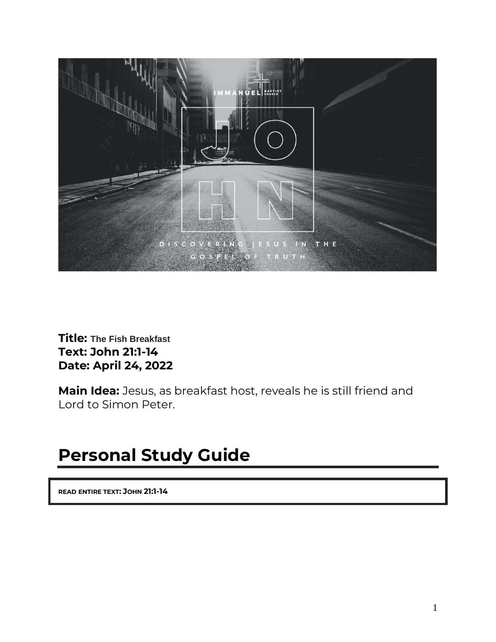

**Title: The Fish Breakfast Text: John 21:1-14 Date: April 24, 2022**

**Main Idea:** Jesus, as breakfast host, reveals he is still friend and Lord to Simon Peter.

## **Personal Study Guide**

**READ ENTIRE TEXT: JOHN 21:1-14**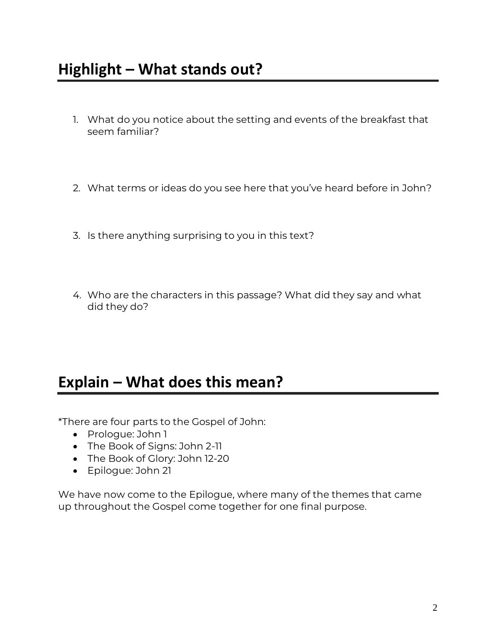- 1. What do you notice about the setting and events of the breakfast that seem familiar?
- 2. What terms or ideas do you see here that you've heard before in John?
- 3. Is there anything surprising to you in this text?
- 4. Who are the characters in this passage? What did they say and what did they do?

### **Explain – What does this mean?**

\*There are four parts to the Gospel of John:

- Prologue: John 1
- The Book of Signs: John 2-11
- The Book of Glory: John 12-20
- Epilogue: John 21

We have now come to the Epilogue, where many of the themes that came up throughout the Gospel come together for one final purpose.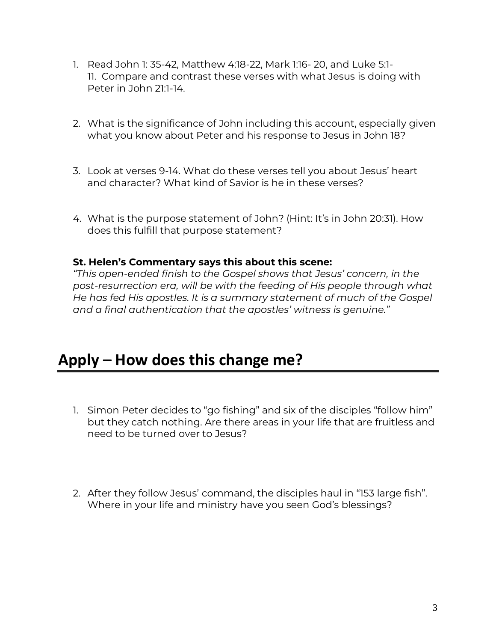- 1. Read John 1: 35-42, Matthew 4:18-22, Mark 1:16- 20, and Luke 5:1- 11. Compare and contrast these verses with what Jesus is doing with Peter in John 21:1-14.
- 2. What is the significance of John including this account, especially given what you know about Peter and his response to Jesus in John 18?
- 3. Look at verses 9-14. What do these verses tell you about Jesus' heart and character? What kind of Savior is he in these verses?
- 4. What is the purpose statement of John? (Hint: It's in John 20:31). How does this fulfill that purpose statement?

#### **St. Helen's Commentary says this about this scene:**

*"This open-ended finish to the Gospel shows that Jesus' concern, in the post-resurrection era, will be with the feeding of His people through what He has fed His apostles. It is a summary statement of much of the Gospel and a final authentication that the apostles' witness is genuine."*

## **Apply – How does this change me?**

- 1. Simon Peter decides to "go fishing" and six of the disciples "follow him" but they catch nothing. Are there areas in your life that are fruitless and need to be turned over to Jesus?
- 2. After they follow Jesus' command, the disciples haul in "153 large fish". Where in your life and ministry have you seen God's blessings?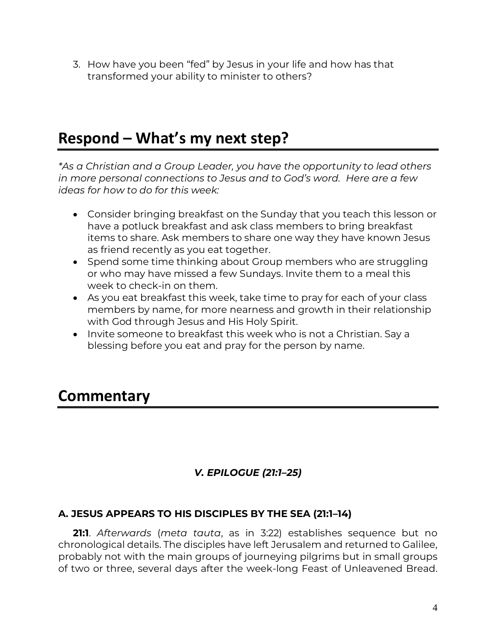3. How have you been "fed" by Jesus in your life and how has that transformed your ability to minister to others?

### **Respond – What's my next step?**

*\*As a Christian and a Group Leader, you have the opportunity to lead others in more personal connections to Jesus and to God's word. Here are a few ideas for how to do for this week:*

- Consider bringing breakfast on the Sunday that you teach this lesson or have a potluck breakfast and ask class members to bring breakfast items to share. Ask members to share one way they have known Jesus as friend recently as you eat together.
- Spend some time thinking about Group members who are struggling or who may have missed a few Sundays. Invite them to a meal this week to check-in on them.
- As you eat breakfast this week, take time to pray for each of your class members by name, for more nearness and growth in their relationship with God through Jesus and His Holy Spirit.
- Invite someone to breakfast this week who is not a Christian. Say a blessing before you eat and pray for the person by name.

## **Commentary**

### *V. EPILOGUE (21:1–25)*

### **A. JESUS APPEARS TO HIS DISCIPLES BY THE SEA (21:1–14)**

**21:1**. *Afterwards* (*meta tauta*, as in 3:22) establishes sequence but no chronological details. The disciples have left Jerusalem and returned to Galilee, probably not with the main groups of journeying pilgrims but in small groups of two or three, several days after the week-long Feast of Unleavened Bread.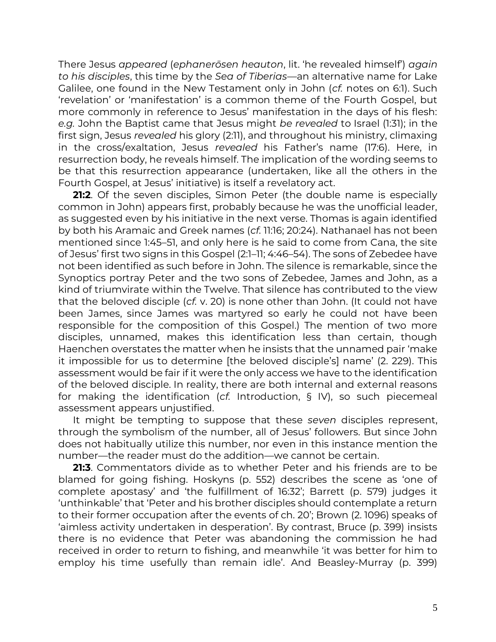There Jesus *appeared* (*ephanerōsen heauton*, lit. 'he revealed himself') *again to his disciples*, this time by the *Sea of Tiberias*—an alternative name for Lake Galilee, one found in the New Testament only in John (*cf.* notes on 6:1). Such 'revelation' or 'manifestation' is a common theme of the Fourth Gospel, but more commonly in reference to Jesus' manifestation in the days of his flesh: *e.g.* John the Baptist came that Jesus might *be revealed* to Israel (1:31); in the first sign, Jesus *revealed* his glory (2:11), and throughout his ministry, climaxing in the cross/exaltation, Jesus *revealed* his Father's name (17:6). Here, in resurrection body, he reveals himself. The implication of the wording seems to be that this resurrection appearance (undertaken, like all the others in the Fourth Gospel, at Jesus' initiative) is itself a revelatory act.

**21:2**. Of the seven disciples, Simon Peter (the double name is especially common in John) appears first, probably because he was the unofficial leader, as suggested even by his initiative in the next verse. Thomas is again identified by both his Aramaic and Greek names (*cf.* 11:16; 20:24). Nathanael has not been mentioned since 1:45–51, and only here is he said to come from Cana, the site of Jesus' first two signs in this Gospel (2:1–11; 4:46–54). The sons of Zebedee have not been identified as such before in John. The silence is remarkable, since the Synoptics portray Peter and the two sons of Zebedee, James and John, as a kind of triumvirate within the Twelve. That silence has contributed to the view that the beloved disciple (*cf.* v. 20) is none other than John. (It could not have been James, since James was martyred so early he could not have been responsible for the composition of this Gospel.) The mention of two more disciples, unnamed, makes this identification less than certain, though Haenchen overstates the matter when he insists that the unnamed pair 'make it impossible for us to determine [the beloved disciple's] name' (2. 229). This assessment would be fair if it were the only access we have to the identification of the beloved disciple. In reality, there are both internal and external reasons for making the identification (*cf.* Introduction, § IV), so such piecemeal assessment appears unjustified.

It might be tempting to suppose that these *seven* disciples represent, through the symbolism of the number, all of Jesus' followers. But since John does not habitually utilize this number, nor even in this instance mention the number—the reader must do the addition—we cannot be certain.

**21:3**. Commentators divide as to whether Peter and his friends are to be blamed for going fishing. Hoskyns (p. 552) describes the scene as 'one of complete apostasy' and 'the fulfillment of 16:32'; Barrett (p. 579) judges it 'unthinkable' that 'Peter and his brother disciples should contemplate a return to their former occupation after the events of ch. 20'; Brown (2. 1096) speaks of 'aimless activity undertaken in desperation'. By contrast, Bruce (p. 399) insists there is no evidence that Peter was abandoning the commission he had received in order to return to fishing, and meanwhile 'it was better for him to employ his time usefully than remain idle'. And Beasley-Murray (p. 399)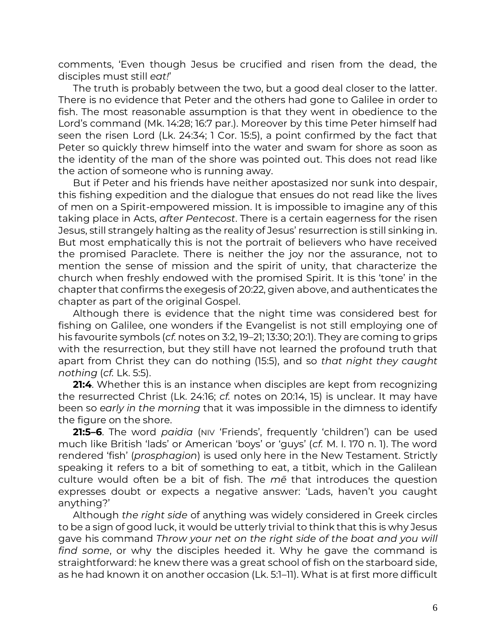comments, 'Even though Jesus be crucified and risen from the dead, the disciples must still *eat!*'

The truth is probably between the two, but a good deal closer to the latter. There is no evidence that Peter and the others had gone to Galilee in order to fish. The most reasonable assumption is that they went in obedience to the Lord's command (Mk. 14:28; 16:7 par.). Moreover by this time Peter himself had seen the risen Lord (Lk. 24:34; 1 Cor. 15:5), a point confirmed by the fact that Peter so quickly threw himself into the water and swam for shore as soon as the identity of the man of the shore was pointed out. This does not read like the action of someone who is running away.

But if Peter and his friends have neither apostasized nor sunk into despair, this fishing expedition and the dialogue that ensues do not read like the lives of men on a Spirit-empowered mission. It is impossible to imagine any of this taking place in Acts, *after Pentecost*. There is a certain eagerness for the risen Jesus, still strangely halting as the reality of Jesus' resurrection is still sinking in. But most emphatically this is not the portrait of believers who have received the promised Paraclete. There is neither the joy nor the assurance, not to mention the sense of mission and the spirit of unity, that characterize the church when freshly endowed with the promised Spirit. It is this 'tone' in the chapter that confirms the exegesis of 20:22, given above, and authenticates the chapter as part of the original Gospel.

Although there is evidence that the night time was considered best for fishing on Galilee, one wonders if the Evangelist is not still employing one of his favourite symbols (*cf.* notes on 3:2, 19–21; 13:30; 20:1). They are coming to grips with the resurrection, but they still have not learned the profound truth that apart from Christ they can do nothing (15:5), and so *that night they caught nothing* (*cf.* Lk. 5:5).

**21:4**. Whether this is an instance when disciples are kept from recognizing the resurrected Christ (Lk. 24:16; *cf.* notes on 20:14, 15) is unclear. It may have been so *early in the morning* that it was impossible in the dimness to identify the figure on the shore.

**21:5–6**. The word *paidia* (NIV 'Friends', frequently 'children') can be used much like British 'lads' or American 'boys' or 'guys' (*cf.* M. I. 170 n. 1). The word rendered 'fish' (*prosphagion*) is used only here in the New Testament. Strictly speaking it refers to a bit of something to eat, a titbit, which in the Galilean culture would often be a bit of fish. The *mē* that introduces the question expresses doubt or expects a negative answer: 'Lads, haven't you caught anything?'

Although *the right side* of anything was widely considered in Greek circles to be a sign of good luck, it would be utterly trivial to think that this is why Jesus gave his command *Throw your net on the right side of the boat and you will find some*, or why the disciples heeded it. Why he gave the command is straightforward: he knew there was a great school of fish on the starboard side, as he had known it on another occasion (Lk. 5:1–11). What is at first more difficult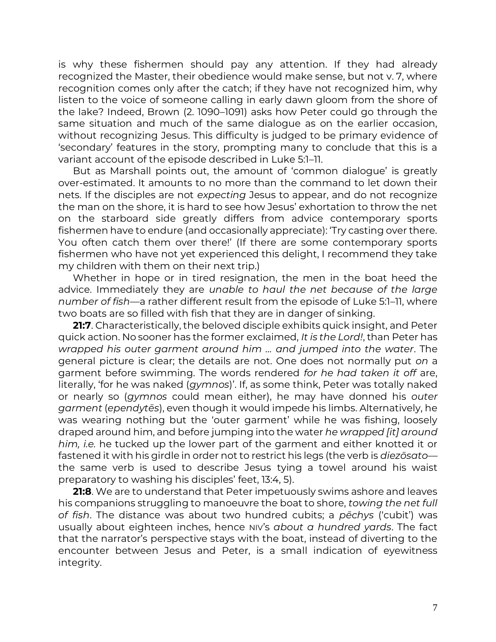is why these fishermen should pay any attention. If they had already recognized the Master, their obedience would make sense, but not v. 7, where recognition comes only after the catch; if they have not recognized him, why listen to the voice of someone calling in early dawn gloom from the shore of the lake? Indeed, Brown (2. 1090–1091) asks how Peter could go through the same situation and much of the same dialogue as on the earlier occasion, without recognizing Jesus. This difficulty is judged to be primary evidence of 'secondary' features in the story, prompting many to conclude that this is a variant account of the episode described in Luke 5:1–11.

But as Marshall points out, the amount of 'common dialogue' is greatly over-estimated. It amounts to no more than the command to let down their nets. If the disciples are not *expecting* Jesus to appear, and do not recognize the man on the shore, it is hard to see how Jesus' exhortation to throw the net on the starboard side greatly differs from advice contemporary sports fishermen have to endure (and occasionally appreciate): 'Try casting over there. You often catch them over there!' (If there are some contemporary sports fishermen who have not yet experienced this delight, I recommend they take my children with them on their next trip.)

Whether in hope or in tired resignation, the men in the boat heed the advice. Immediately they are *unable to haul the net because of the large number of fish*—a rather different result from the episode of Luke 5:1–11, where two boats are so filled with fish that they are in danger of sinking.

**21:7**. Characteristically, the beloved disciple exhibits quick insight, and Peter quick action. No sooner has the former exclaimed, *It is the Lord!*, than Peter has *wrapped his outer garment around him … and jumped into the water*. The general picture is clear; the details are not. One does not normally put *on* a garment before swimming. The words rendered *for he had taken it off* are, literally, 'for he was naked (*gymnos*)'. If, as some think, Peter was totally naked or nearly so (*gymnos* could mean either), he may have donned his *outer garment* (*ependytēs*), even though it would impede his limbs. Alternatively, he was wearing nothing but the 'outer garment' while he was fishing, loosely draped around him, and before jumping into the water *he wrapped [it] around him, i.e.* he tucked up the lower part of the garment and either knotted it or fastened it with his girdle in order not to restrict his legs (the verb is *diezōsato* the same verb is used to describe Jesus tying a towel around his waist preparatory to washing his disciples' feet, 13:4, 5).

**21:8**. We are to understand that Peter impetuously swims ashore and leaves his companions struggling to manoeuvre the boat to shore, *towing the net full of fish*. The distance was about two hundred cubits; a *pēchys* ('cubit') was usually about eighteen inches, hence NIV's *about a hundred yards*. The fact that the narrator's perspective stays with the boat, instead of diverting to the encounter between Jesus and Peter, is a small indication of eyewitness integrity.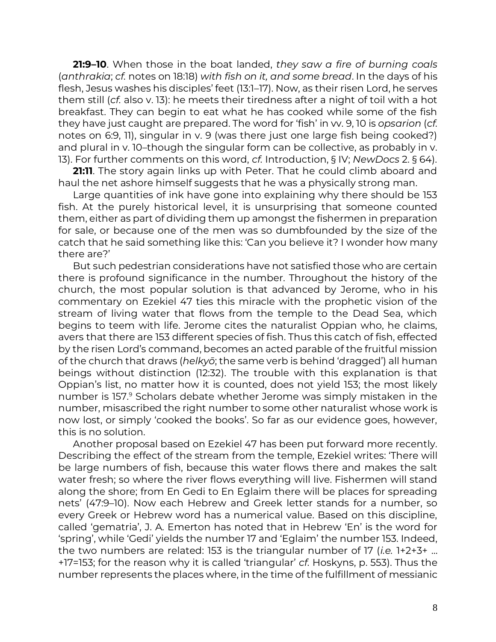**21:9–10**. When those in the boat landed, *they saw a fire of burning coals* (*anthrakia*; *cf.* notes on 18:18) *with fish on it, and some bread*. In the days of his flesh, Jesus washes his disciples' feet (13:1–17). Now, as their risen Lord, he serves them still (*cf.* also v. 13): he meets their tiredness after a night of toil with a hot breakfast. They can begin to eat what he has cooked while some of the fish they have just caught are prepared. The word for 'fish' in vv. 9, 10 is *opsarion* (*cf.* notes on 6:9, 11), singular in v. 9 (was there just one large fish being cooked?) and plural in v. 10–though the singular form can be collective, as probably in v. 13). For further comments on this word, *cf.* Introduction, § IV; *NewDocs* 2. § 64).

**21:11**. The story again links up with Peter. That he could climb aboard and haul the net ashore himself suggests that he was a physically strong man.

Large quantities of ink have gone into explaining why there should be 153 fish. At the purely historical level, it is unsurprising that someone counted them, either as part of dividing them up amongst the fishermen in preparation for sale, or because one of the men was so dumbfounded by the size of the catch that he said something like this: 'Can you believe it? I wonder how many there are?'

But such pedestrian considerations have not satisfied those who are certain there is profound significance in the number. Throughout the history of the church, the most popular solution is that advanced by Jerome, who in his commentary on Ezekiel 47 ties this miracle with the prophetic vision of the stream of living water that flows from the temple to the Dead Sea, which begins to teem with life. Jerome cites the naturalist Oppian who, he claims, avers that there are 153 different species of fish. Thus this catch of fish, effected by the risen Lord's command, becomes an acted parable of the fruitful mission of the church that draws (*helkyō*; the same verb is behind 'dragged') all human beings without distinction (12:32). The trouble with this explanation is that Oppian's list, no matter how it is counted, does not yield 153; the most likely number is 157.<sup>9</sup> Scholars debate whether Jerome was simply mistaken in the number, misascribed the right number to some other naturalist whose work is now lost, or simply 'cooked the books'. So far as our evidence goes, however, this is no solution.

Another proposal based on Ezekiel 47 has been put forward more recently. Describing the effect of the stream from the temple, Ezekiel writes: 'There will be large numbers of fish, because this water flows there and makes the salt water fresh; so where the river flows everything will live. Fishermen will stand along the shore; from En Gedi to En Eglaim there will be places for spreading nets' (47:9–10). Now each Hebrew and Greek letter stands for a number, so every Greek or Hebrew word has a numerical value. Based on this discipline, called 'gematria', J. A. Emerton has noted that in Hebrew 'En' is the word for 'spring', while 'Gedi' yields the number 17 and 'Eglaim' the number 153. Indeed, the two numbers are related: 153 is the triangular number of 17 (*i.e.* 1+2+3+ … +17=153; for the reason why it is called 'triangular' *cf.* Hoskyns, p. 553). Thus the number represents the places where, in the time of the fulfillment of messianic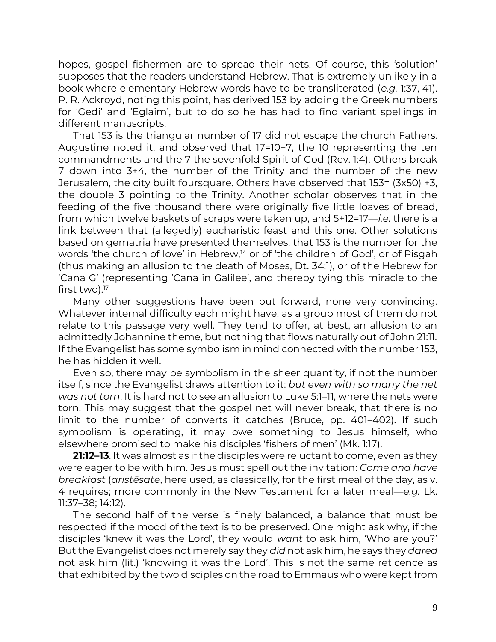hopes, gospel fishermen are to spread their nets. Of course, this 'solution' supposes that the readers understand Hebrew. That is extremely unlikely in a book where elementary Hebrew words have to be transliterated (*e.g.* 1:37, 41). P. R. Ackroyd, noting this point, has derived 153 by adding the Greek numbers for 'Gedi' and 'Eglaim', but to do so he has had to find variant spellings in different manuscripts.

That 153 is the triangular number of 17 did not escape the church Fathers. Augustine noted it, and observed that 17=10+7, the 10 representing the ten commandments and the 7 the sevenfold Spirit of God (Rev. 1:4). Others break 7 down into 3+4, the number of the Trinity and the number of the new Jerusalem, the city built foursquare. Others have observed that 153= (3x50) +3, the double 3 pointing to the Trinity. Another scholar observes that in the feeding of the five thousand there were originally five little loaves of bread, from which twelve baskets of scraps were taken up, and 5+12=17—*i.e.* there is a link between that (allegedly) eucharistic feast and this one. Other solutions based on gematria have presented themselves: that 153 is the number for the words 'the church of love' in Hebrew,<sup>14</sup> or of 'the children of God', or of Pisgah (thus making an allusion to the death of Moses, Dt. 34:1), or of the Hebrew for 'Cana G' (representing 'Cana in Galilee', and thereby tying this miracle to the first two).<sup>17</sup>

Many other suggestions have been put forward, none very convincing. Whatever internal difficulty each might have, as a group most of them do not relate to this passage very well. They tend to offer, at best, an allusion to an admittedly Johannine theme, but nothing that flows naturally out of John 21:11. If the Evangelist has some symbolism in mind connected with the number 153, he has hidden it well.

Even so, there may be symbolism in the sheer quantity, if not the number itself, since the Evangelist draws attention to it: *but even with so many the net was not torn*. It is hard not to see an allusion to Luke 5:1–11, where the nets were torn. This may suggest that the gospel net will never break, that there is no limit to the number of converts it catches (Bruce, pp. 401–402). If such symbolism is operating, it may owe something to Jesus himself, who elsewhere promised to make his disciples 'fishers of men' (Mk. 1:17).

**21:12–13**. It was almost as if the disciples were reluctant to come, even as they were eager to be with him. Jesus must spell out the invitation: *Come and have breakfast* (*aristēsate*, here used, as classically, for the first meal of the day, as v. 4 requires; more commonly in the New Testament for a later meal—*e.g.* Lk. 11:37–38; 14:12).

The second half of the verse is finely balanced, a balance that must be respected if the mood of the text is to be preserved. One might ask why, if the disciples 'knew it was the Lord', they would *want* to ask him, 'Who are you?' But the Evangelist does not merely say they *did* not ask him, he says they *dared* not ask him (lit.) 'knowing it was the Lord'. This is not the same reticence as that exhibited by the two disciples on the road to Emmaus who were kept from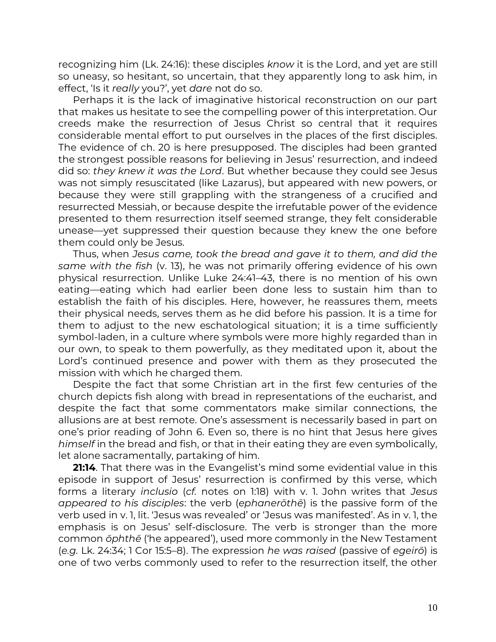recognizing him (Lk. 24:16): these disciples *know* it is the Lord, and yet are still so uneasy, so hesitant, so uncertain, that they apparently long to ask him, in effect, 'Is it *really* you?', yet *dare* not do so.

Perhaps it is the lack of imaginative historical reconstruction on our part that makes us hesitate to see the compelling power of this interpretation. Our creeds make the resurrection of Jesus Christ so central that it requires considerable mental effort to put ourselves in the places of the first disciples. The evidence of ch. 20 is here presupposed. The disciples had been granted the strongest possible reasons for believing in Jesus' resurrection, and indeed did so: *they knew it was the Lord*. But whether because they could see Jesus was not simply resuscitated (like Lazarus), but appeared with new powers, or because they were still grappling with the strangeness of a crucified and resurrected Messiah, or because despite the irrefutable power of the evidence presented to them resurrection itself seemed strange, they felt considerable unease—yet suppressed their question because they knew the one before them could only be Jesus.

Thus, when *Jesus came, took the bread and gave it to them, and did the same with the fish* (v. 13), he was not primarily offering evidence of his own physical resurrection. Unlike Luke 24:41–43, there is no mention of his own eating—eating which had earlier been done less to sustain him than to establish the faith of his disciples. Here, however, he reassures them, meets their physical needs, serves them as he did before his passion. It is a time for them to adjust to the new eschatological situation; it is a time sufficiently symbol-laden, in a culture where symbols were more highly regarded than in our own, to speak to them powerfully, as they meditated upon it, about the Lord's continued presence and power with them as they prosecuted the mission with which he charged them.

Despite the fact that some Christian art in the first few centuries of the church depicts fish along with bread in representations of the eucharist, and despite the fact that some commentators make similar connections, the allusions are at best remote. One's assessment is necessarily based in part on one's prior reading of John 6. Even so, there is no hint that Jesus here gives *himself* in the bread and fish, or that in their eating they are even symbolically, let alone sacramentally, partaking of him.

**21:14**. That there was in the Evangelist's mind some evidential value in this episode in support of Jesus' resurrection is confirmed by this verse, which forms a literary *inclusio* (*cf.* notes on 1:18) with v. 1. John writes that *Jesus appeared to his disciples*: the verb (*ephanerōthē*) is the passive form of the verb used in v. 1, lit. 'Jesus was revealed' or 'Jesus was manifested'. As in v. 1, the emphasis is on Jesus' self-disclosure. The verb is stronger than the more common *ōphthē* ('he appeared'), used more commonly in the New Testament (*e.g.* Lk. 24:34; 1 Cor 15:5–8). The expression *he was raised* (passive of *egeirō*) is one of two verbs commonly used to refer to the resurrection itself, the other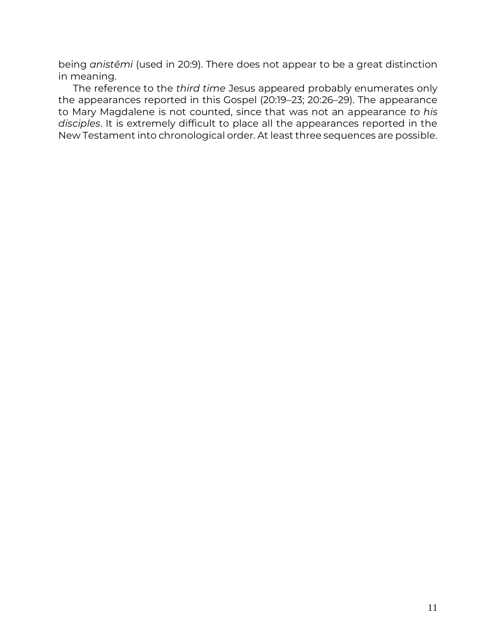being *anistēmi* (used in 20:9). There does not appear to be a great distinction in meaning.

The reference to the *third time* Jesus appeared probably enumerates only the appearances reported in this Gospel (20:19–23; 20:26–29). The appearance to Mary Magdalene is not counted, since that was not an appearance *to his disciples*. It is extremely difficult to place all the appearances reported in the New Testament into chronological order. At least three sequences are possible.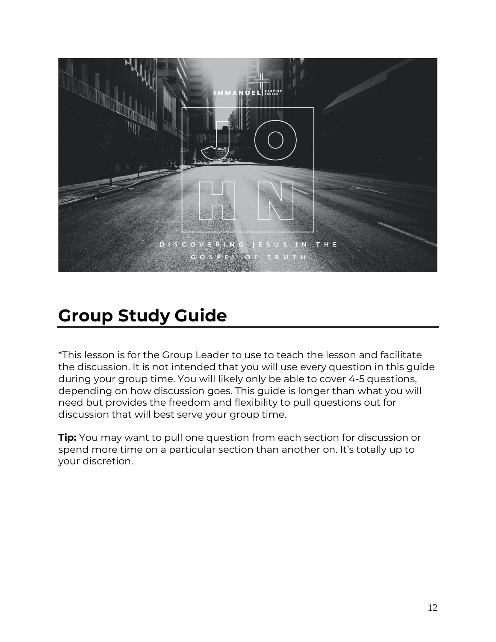

## **Group Study Guide**

\*This lesson is for the Group Leader to use to teach the lesson and facilitate the discussion. It is not intended that you will use every question in this guide during your group time. You will likely only be able to cover 4-5 questions, depending on how discussion goes. This guide is longer than what you will need but provides the freedom and flexibility to pull questions out for discussion that will best serve your group time.

**Tip:** You may want to pull one question from each section for discussion or spend more time on a particular section than another on. It's totally up to your discretion.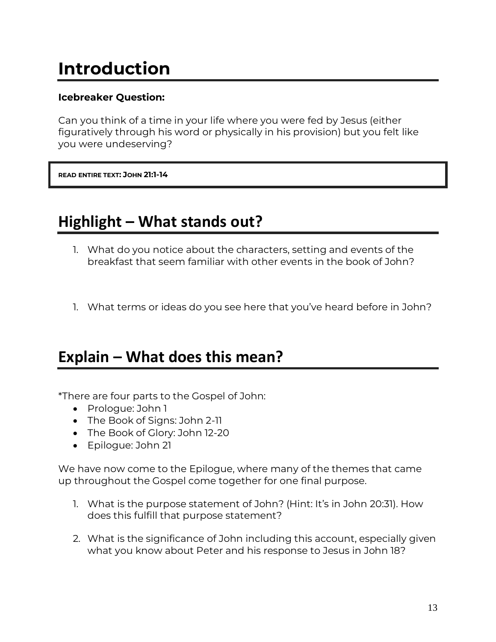# **Introduction**

### **Icebreaker Question:**

Can you think of a time in your life where you were fed by Jesus (either figuratively through his word or physically in his provision) but you felt like you were undeserving?

**READ ENTIRE TEXT: JOHN 21:1-14**

## **Highlight – What stands out?**

- 1. What do you notice about the characters, setting and events of the breakfast that seem familiar with other events in the book of John?
- 1. What terms or ideas do you see here that you've heard before in John?

### **Explain – What does this mean?**

\*There are four parts to the Gospel of John:

- Prologue: John 1
- The Book of Signs: John 2-11
- The Book of Glory: John 12-20
- Epilogue: John 21

We have now come to the Epilogue, where many of the themes that came up throughout the Gospel come together for one final purpose.

- 1. What is the purpose statement of John? (Hint: It's in John 20:31). How does this fulfill that purpose statement?
- 2. What is the significance of John including this account, especially given what you know about Peter and his response to Jesus in John 18?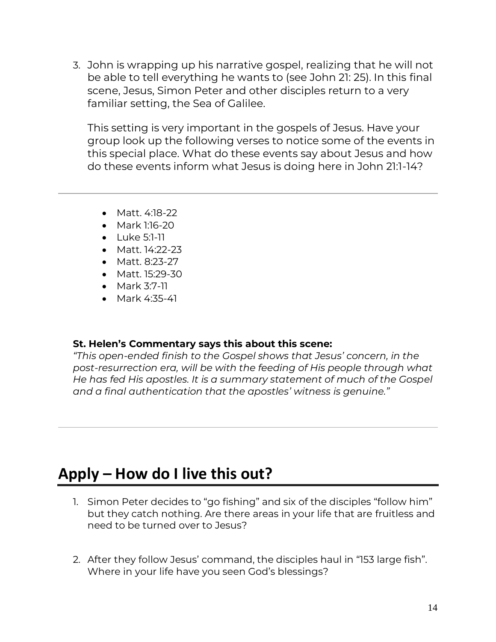3. John is wrapping up his narrative gospel, realizing that he will not be able to tell everything he wants to (see John 21: 25). In this final scene, Jesus, Simon Peter and other disciples return to a very familiar setting, the Sea of Galilee.

This setting is very important in the gospels of Jesus. Have your group look up the following verses to notice some of the events in this special place. What do these events say about Jesus and how do these events inform what Jesus is doing here in John 21:1-14?

- Matt. 4:18-22
- Mark 1:16-20
- Luke 5:1-11
- Matt. 14:22-23
- Matt. 8:23-27
- Matt. 15:29-30
- Mark 3:7-11
- Mark 4:35-41

#### **St. Helen's Commentary says this about this scene:**

*"This open-ended finish to the Gospel shows that Jesus' concern, in the post-resurrection era, will be with the feeding of His people through what He has fed His apostles. It is a summary statement of much of the Gospel and a final authentication that the apostles' witness is genuine."*

### **Apply – How do I live this out?**

- 1. Simon Peter decides to "go fishing" and six of the disciples "follow him" but they catch nothing. Are there areas in your life that are fruitless and need to be turned over to Jesus?
- 2. After they follow Jesus' command, the disciples haul in "153 large fish". Where in your life have you seen God's blessings?